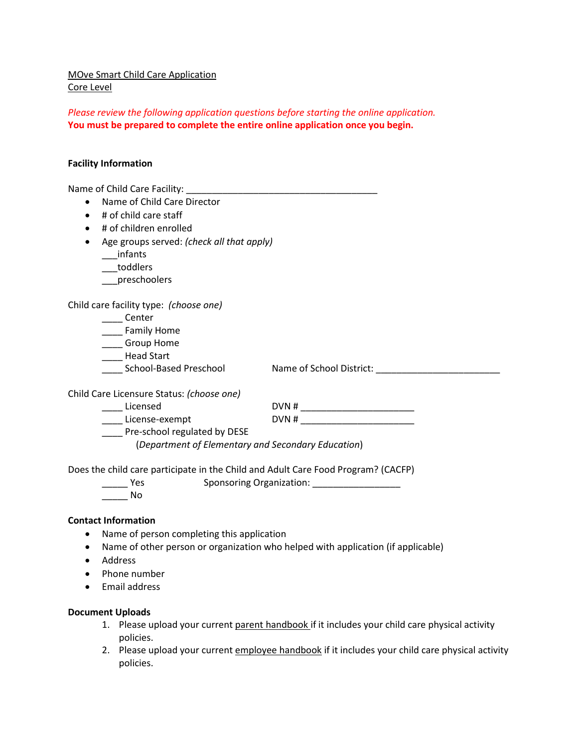MOve Smart Child Care Application Core Level

*Please review the following application questions before starting the online application.*  **You must be prepared to complete the entire online application once you begin.**

#### **Facility Information**

| Name of Child Care Director<br>$\bullet$                                          |                                  |
|-----------------------------------------------------------------------------------|----------------------------------|
| # of child care staff<br>$\bullet$                                                |                                  |
| # of children enrolled                                                            |                                  |
|                                                                                   |                                  |
| Age groups served: (check all that apply)                                         |                                  |
| infants                                                                           |                                  |
| toddlers                                                                          |                                  |
| preschoolers                                                                      |                                  |
| Child care facility type: (choose one)                                            |                                  |
| Center                                                                            |                                  |
| Family Home                                                                       |                                  |
| Group Home                                                                        |                                  |
| _____ Head Start                                                                  |                                  |
| School-Based Preschool                                                            | Name of School District:         |
| Child Care Licensure Status: (choose one)                                         |                                  |
| Licensed                                                                          | DVN # __________________________ |
| License-exempt                                                                    |                                  |
| Pre-school regulated by DESE                                                      |                                  |
| (Department of Elementary and Secondary Education)                                |                                  |
| Does the child care participate in the Child and Adult Care Food Program? (CACFP) |                                  |
| Sponsoring Organization: Sponsoring Organization:<br>Yes                          |                                  |
| No                                                                                |                                  |

#### **Contact Information**

- Name of person completing this application
- Name of other person or organization who helped with application (if applicable)
- Address
- Phone number
- Email address

#### **Document Uploads**

- 1. Please upload your current parent handbook if it includes your child care physical activity policies.
- 2. Please upload your current employee handbook if it includes your child care physical activity policies.